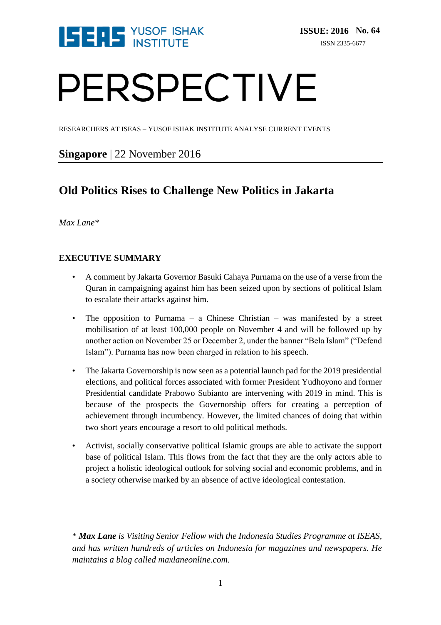

# PERSPECTIVE

RESEARCHERS AT ISEAS – YUSOF ISHAK INSTITUTE ANALYSE CURRENT EVENTS

#### **Singapore** | 22 November 2016

### **Old Politics Rises to Challenge New Politics in Jakarta**

*Max Lane\**

#### **EXECUTIVE SUMMARY**

- A comment by Jakarta Governor Basuki Cahaya Purnama on the use of a verse from the Quran in campaigning against him has been seized upon by sections of political Islam to escalate their attacks against him.
- The opposition to Purnama a Chinese Christian was manifested by a street mobilisation of at least 100,000 people on November 4 and will be followed up by another action on November 25 or December 2, under the banner "Bela Islam" ("Defend Islam"). Purnama has now been charged in relation to his speech.
- The Jakarta Governorship is now seen as a potential launch pad for the 2019 presidential elections, and political forces associated with former President Yudhoyono and former Presidential candidate Prabowo Subianto are intervening with 2019 in mind. This is because of the prospects the Governorship offers for creating a perception of achievement through incumbency. However, the limited chances of doing that within two short years encourage a resort to old political methods.
- Activist, socially conservative political Islamic groups are able to activate the support base of political Islam. This flows from the fact that they are the only actors able to project a holistic ideological outlook for solving social and economic problems, and in a society otherwise marked by an absence of active ideological contestation.

\* *Max Lane is Visiting Senior Fellow with the Indonesia Studies Programme at ISEAS, and has written hundreds of articles on Indonesia for magazines and newspapers. He maintains a blog called maxlaneonline.com.*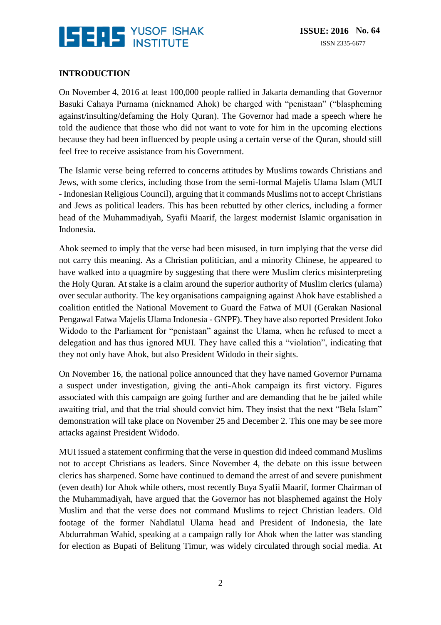

#### **INTRODUCTION**

On November 4, 2016 at least 100,000 people rallied in Jakarta demanding that Governor Basuki Cahaya Purnama (nicknamed Ahok) be charged with "penistaan" ("blaspheming against/insulting/defaming the Holy Quran). The Governor had made a speech where he told the audience that those who did not want to vote for him in the upcoming elections because they had been influenced by people using a certain verse of the Quran, should still feel free to receive assistance from his Government.

The Islamic verse being referred to concerns attitudes by Muslims towards Christians and Jews, with some clerics, including those from the semi-formal Majelis Ulama Islam (MUI - Indonesian Religious Council), arguing that it commands Muslims not to accept Christians and Jews as political leaders. This has been rebutted by other clerics, including a former head of the Muhammadiyah, Syafii Maarif, the largest modernist Islamic organisation in Indonesia.

Ahok seemed to imply that the verse had been misused, in turn implying that the verse did not carry this meaning. As a Christian politician, and a minority Chinese, he appeared to have walked into a quagmire by suggesting that there were Muslim clerics misinterpreting the Holy Quran. At stake is a claim around the superior authority of Muslim clerics (ulama) over secular authority. The key organisations campaigning against Ahok have established a coalition entitled the National Movement to Guard the Fatwa of MUI (Gerakan Nasional Pengawal Fatwa Majelis Ulama Indonesia - GNPF). They have also reported President Joko Widodo to the Parliament for "penistaan" against the Ulama, when he refused to meet a delegation and has thus ignored MUI. They have called this a "violation", indicating that they not only have Ahok, but also President Widodo in their sights.

On November 16, the national police announced that they have named Governor Purnama a suspect under investigation, giving the anti-Ahok campaign its first victory. Figures associated with this campaign are going further and are demanding that he be jailed while awaiting trial, and that the trial should convict him. They insist that the next "Bela Islam" demonstration will take place on November 25 and December 2. This one may be see more attacks against President Widodo.

MUI issued a statement confirming that the verse in question did indeed command Muslims not to accept Christians as leaders. Since November 4, the debate on this issue between clerics has sharpened. Some have continued to demand the arrest of and severe punishment (even death) for Ahok while others, most recently Buya Syafii Maarif, former Chairman of the Muhammadiyah, have argued that the Governor has not blasphemed against the Holy Muslim and that the verse does not command Muslims to reject Christian leaders. Old footage of the former Nahdlatul Ulama head and President of Indonesia, the late Abdurrahman Wahid, speaking at a campaign rally for Ahok when the latter was standing for election as Bupati of Belitung Timur, was widely circulated through social media. At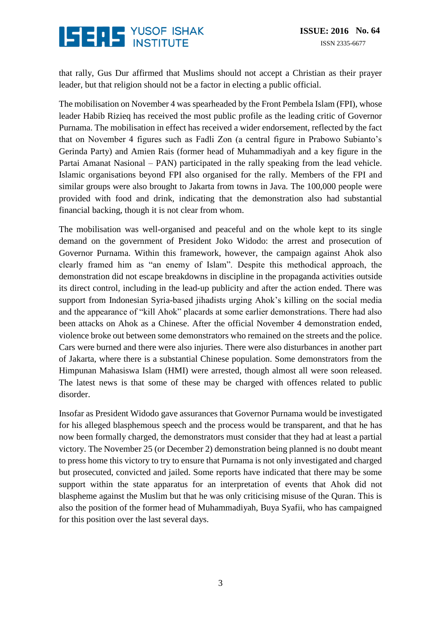## **ISERE** YUSOF ISHAK

that rally, Gus Dur affirmed that Muslims should not accept a Christian as their prayer leader, but that religion should not be a factor in electing a public official.

The mobilisation on November 4 was spearheaded by the Front Pembela Islam (FPI), whose leader Habib Rizieq has received the most public profile as the leading critic of Governor Purnama. The mobilisation in effect has received a wider endorsement, reflected by the fact that on November 4 figures such as Fadli Zon (a central figure in Prabowo Subianto's Gerinda Party) and Amien Rais (former head of Muhammadiyah and a key figure in the Partai Amanat Nasional – PAN) participated in the rally speaking from the lead vehicle. Islamic organisations beyond FPI also organised for the rally. Members of the FPI and similar groups were also brought to Jakarta from towns in Java. The 100,000 people were provided with food and drink, indicating that the demonstration also had substantial financial backing, though it is not clear from whom.

The mobilisation was well-organised and peaceful and on the whole kept to its single demand on the government of President Joko Widodo: the arrest and prosecution of Governor Purnama. Within this framework, however, the campaign against Ahok also clearly framed him as "an enemy of Islam". Despite this methodical approach, the demonstration did not escape breakdowns in discipline in the propaganda activities outside its direct control, including in the lead-up publicity and after the action ended. There was support from Indonesian Syria-based jihadists urging Ahok's killing on the social media and the appearance of "kill Ahok" placards at some earlier demonstrations. There had also been attacks on Ahok as a Chinese. After the official November 4 demonstration ended, violence broke out between some demonstrators who remained on the streets and the police. Cars were burned and there were also injuries. There were also disturbances in another part of Jakarta, where there is a substantial Chinese population. Some demonstrators from the Himpunan Mahasiswa Islam (HMI) were arrested, though almost all were soon released. The latest news is that some of these may be charged with offences related to public disorder.

Insofar as President Widodo gave assurances that Governor Purnama would be investigated for his alleged blasphemous speech and the process would be transparent, and that he has now been formally charged, the demonstrators must consider that they had at least a partial victory. The November 25 (or December 2) demonstration being planned is no doubt meant to press home this victory to try to ensure that Purnama is not only investigated and charged but prosecuted, convicted and jailed. Some reports have indicated that there may be some support within the state apparatus for an interpretation of events that Ahok did not blaspheme against the Muslim but that he was only criticising misuse of the Quran. This is also the position of the former head of Muhammadiyah, Buya Syafii, who has campaigned for this position over the last several days.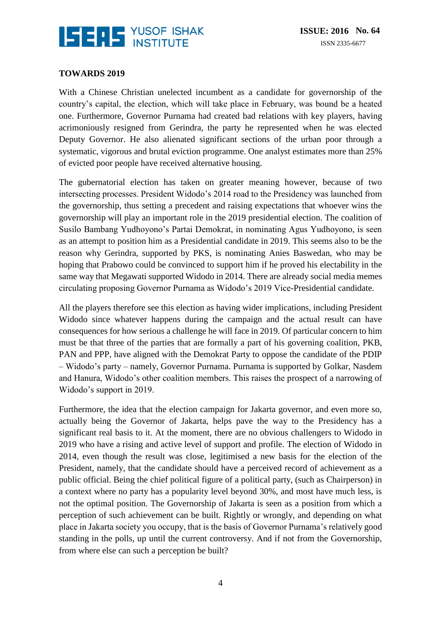

#### **TOWARDS 2019**

With a Chinese Christian unelected incumbent as a candidate for governorship of the country's capital, the election, which will take place in February, was bound be a heated one. Furthermore, Governor Purnama had created bad relations with key players, having acrimoniously resigned from Gerindra, the party he represented when he was elected Deputy Governor. He also alienated significant sections of the urban poor through a systematic, vigorous and brutal eviction programme. One analyst estimates more than 25% of evicted poor people have received alternative housing.

The gubernatorial election has taken on greater meaning however, because of two intersecting processes. President Widodo's 2014 road to the Presidency was launched from the governorship, thus setting a precedent and raising expectations that whoever wins the governorship will play an important role in the 2019 presidential election. The coalition of Susilo Bambang Yudhoyono's Partai Demokrat, in nominating Agus Yudhoyono, is seen as an attempt to position him as a Presidential candidate in 2019. This seems also to be the reason why Gerindra, supported by PKS, is nominating Anies Baswedan, who may be hoping that Prabowo could be convinced to support him if he proved his electability in the same way that Megawati supported Widodo in 2014. There are already social media memes circulating proposing Governor Purnama as Widodo's 2019 Vice-Presidential candidate.

All the players therefore see this election as having wider implications, including President Widodo since whatever happens during the campaign and the actual result can have consequences for how serious a challenge he will face in 2019. Of particular concern to him must be that three of the parties that are formally a part of his governing coalition, PKB, PAN and PPP, have aligned with the Demokrat Party to oppose the candidate of the PDIP – Widodo's party – namely, Governor Purnama. Purnama is supported by Golkar, Nasdem and Hanura, Widodo's other coalition members. This raises the prospect of a narrowing of Widodo's support in 2019.

Furthermore, the idea that the election campaign for Jakarta governor, and even more so, actually being the Governor of Jakarta, helps pave the way to the Presidency has a significant real basis to it. At the moment, there are no obvious challengers to Widodo in 2019 who have a rising and active level of support and profile. The election of Widodo in 2014, even though the result was close, legitimised a new basis for the election of the President, namely, that the candidate should have a perceived record of achievement as a public official. Being the chief political figure of a political party, (such as Chairperson) in a context where no party has a popularity level beyond 30%, and most have much less, is not the optimal position. The Governorship of Jakarta is seen as a position from which a perception of such achievement can be built. Rightly or wrongly, and depending on what place in Jakarta society you occupy, that is the basis of Governor Purnama's relatively good standing in the polls, up until the current controversy. And if not from the Governorship, from where else can such a perception be built?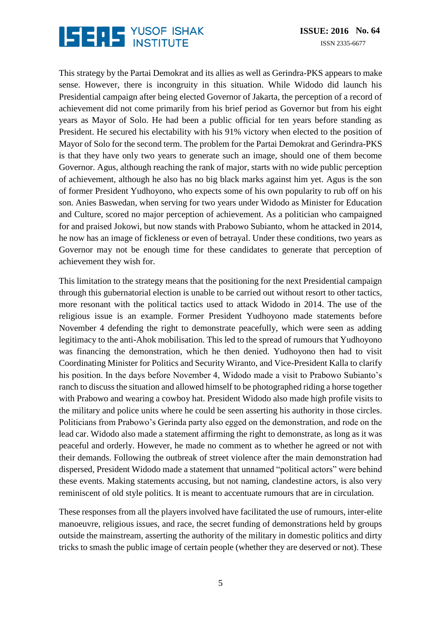## **ISERE** YUSOF ISHAK

This strategy by the Partai Demokrat and its allies as well as Gerindra-PKS appears to make sense. However, there is incongruity in this situation. While Widodo did launch his Presidential campaign after being elected Governor of Jakarta, the perception of a record of achievement did not come primarily from his brief period as Governor but from his eight years as Mayor of Solo. He had been a public official for ten years before standing as President. He secured his electability with his 91% victory when elected to the position of Mayor of Solo for the second term. The problem for the Partai Demokrat and Gerindra-PKS is that they have only two years to generate such an image, should one of them become Governor. Agus, although reaching the rank of major, starts with no wide public perception of achievement, although he also has no big black marks against him yet. Agus is the son of former President Yudhoyono, who expects some of his own popularity to rub off on his son. Anies Baswedan, when serving for two years under Widodo as Minister for Education and Culture, scored no major perception of achievement. As a politician who campaigned for and praised Jokowi, but now stands with Prabowo Subianto, whom he attacked in 2014, he now has an image of fickleness or even of betrayal. Under these conditions, two years as Governor may not be enough time for these candidates to generate that perception of achievement they wish for.

This limitation to the strategy means that the positioning for the next Presidential campaign through this gubernatorial election is unable to be carried out without resort to other tactics, more resonant with the political tactics used to attack Widodo in 2014. The use of the religious issue is an example. Former President Yudhoyono made statements before November 4 defending the right to demonstrate peacefully, which were seen as adding legitimacy to the anti-Ahok mobilisation. This led to the spread of rumours that Yudhoyono was financing the demonstration, which he then denied. Yudhoyono then had to visit Coordinating Minister for Politics and Security Wiranto, and Vice-President Kalla to clarify his position. In the days before November 4, Widodo made a visit to Prabowo Subianto's ranch to discuss the situation and allowed himself to be photographed riding a horse together with Prabowo and wearing a cowboy hat. President Widodo also made high profile visits to the military and police units where he could be seen asserting his authority in those circles. Politicians from Prabowo's Gerinda party also egged on the demonstration, and rode on the lead car. Widodo also made a statement affirming the right to demonstrate, as long as it was peaceful and orderly. However, he made no comment as to whether he agreed or not with their demands. Following the outbreak of street violence after the main demonstration had dispersed, President Widodo made a statement that unnamed "political actors" were behind these events. Making statements accusing, but not naming, clandestine actors, is also very reminiscent of old style politics. It is meant to accentuate rumours that are in circulation.

These responses from all the players involved have facilitated the use of rumours, inter-elite manoeuvre, religious issues, and race, the secret funding of demonstrations held by groups outside the mainstream, asserting the authority of the military in domestic politics and dirty tricks to smash the public image of certain people (whether they are deserved or not). These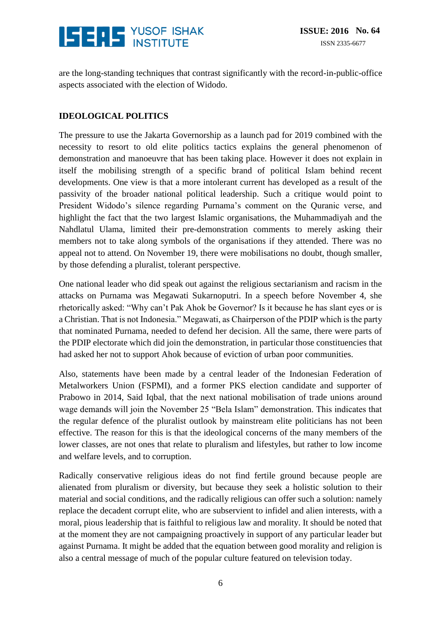

are the long-standing techniques that contrast significantly with the record-in-public-office aspects associated with the election of Widodo.

#### **IDEOLOGICAL POLITICS**

The pressure to use the Jakarta Governorship as a launch pad for 2019 combined with the necessity to resort to old elite politics tactics explains the general phenomenon of demonstration and manoeuvre that has been taking place. However it does not explain in itself the mobilising strength of a specific brand of political Islam behind recent developments. One view is that a more intolerant current has developed as a result of the passivity of the broader national political leadership. Such a critique would point to President Widodo's silence regarding Purnama's comment on the Quranic verse, and highlight the fact that the two largest Islamic organisations, the Muhammadiyah and the Nahdlatul Ulama, limited their pre-demonstration comments to merely asking their members not to take along symbols of the organisations if they attended. There was no appeal not to attend. On November 19, there were mobilisations no doubt, though smaller, by those defending a pluralist, tolerant perspective.

One national leader who did speak out against the religious sectarianism and racism in the attacks on Purnama was Megawati Sukarnoputri. In a speech before November 4, she rhetorically asked: "Why can't Pak Ahok be Governor? Is it because he has slant eyes or is a Christian. That is not Indonesia." Megawati, as Chairperson of the PDIP which is the party that nominated Purnama, needed to defend her decision. All the same, there were parts of the PDIP electorate which did join the demonstration, in particular those constituencies that had asked her not to support Ahok because of eviction of urban poor communities.

Also, statements have been made by a central leader of the Indonesian Federation of Metalworkers Union (FSPMI), and a former PKS election candidate and supporter of Prabowo in 2014, Said Iqbal, that the next national mobilisation of trade unions around wage demands will join the November 25 "Bela Islam" demonstration. This indicates that the regular defence of the pluralist outlook by mainstream elite politicians has not been effective. The reason for this is that the ideological concerns of the many members of the lower classes, are not ones that relate to pluralism and lifestyles, but rather to low income and welfare levels, and to corruption.

Radically conservative religious ideas do not find fertile ground because people are alienated from pluralism or diversity, but because they seek a holistic solution to their material and social conditions, and the radically religious can offer such a solution: namely replace the decadent corrupt elite, who are subservient to infidel and alien interests, with a moral, pious leadership that is faithful to religious law and morality. It should be noted that at the moment they are not campaigning proactively in support of any particular leader but against Purnama. It might be added that the equation between good morality and religion is also a central message of much of the popular culture featured on television today.